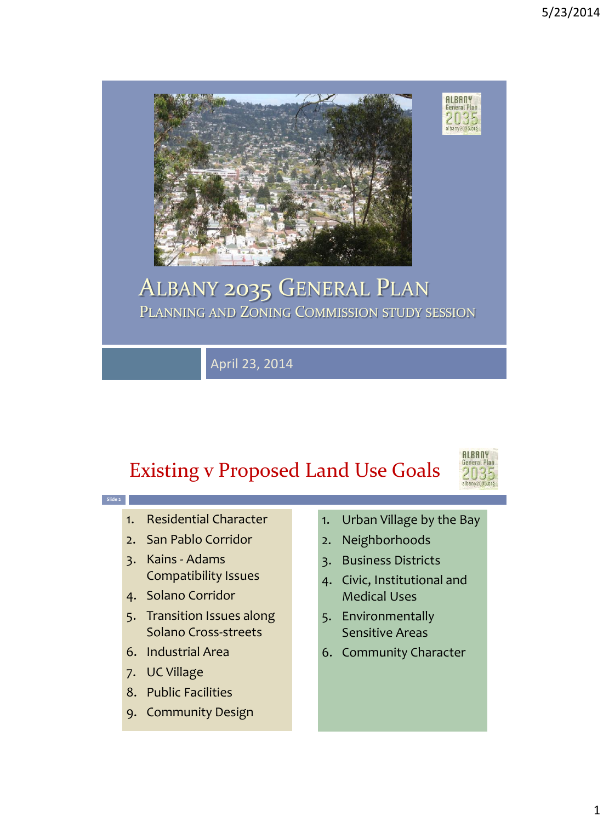

### ALBANY 2035 GENERAL PLAN PLANNING AND ZONING COMMISSION STUDY SESSION

April 23, 2014

## Existing v Proposed Land Use Goals



- 1. Residential Character
- 2. San Pablo Corridor

**Slide 2**

- 3. Kains Adams Compatibility Issues
- 4. Solano Corridor
- 5. Transition Issues along Solano Cross-streets
- 6. Industrial Area
- 7. UC Village
- 8. Public Facilities
- 9. Community Design
- 1. Urban Village by the Bay
- 2. Neighborhoods
- 3. Business Districts
- 4. Civic, Institutional and Medical Uses
- 5. Environmentally Sensitive Areas
- 6. Community Character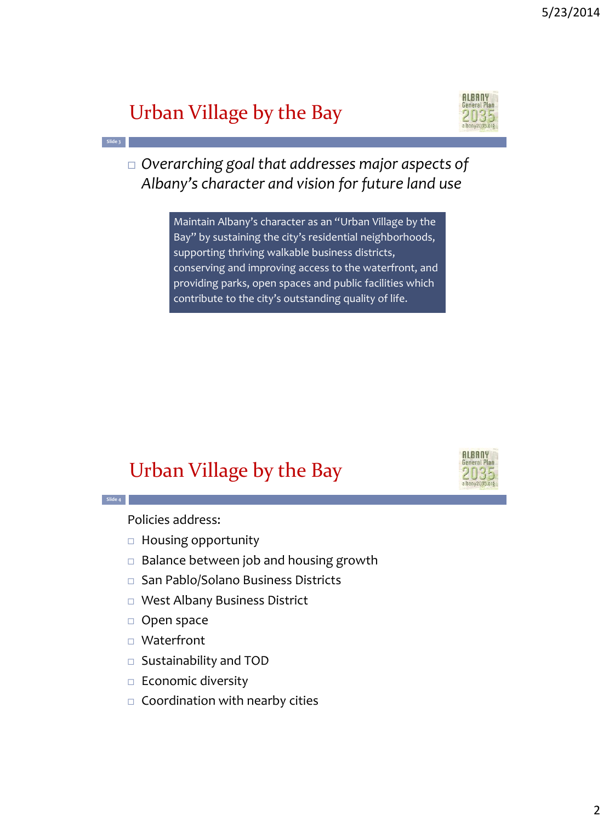### Urban Village by the Bay



 *Overarching goal that addresses major aspects of Albany's character and vision for future land use*

> Maintain Albany's character as an "Urban Village by the Bay" by sustaining the city's residential neighborhoods, supporting thriving walkable business districts, conserving and improving access to the waterfront, and providing parks, open spaces and public facilities which contribute to the city's outstanding quality of life.

### Urban Village by the Bay



**Slide 4**

**Slide 3**

Policies address:

- $\Box$  Housing opportunity
- $\Box$  Balance between job and housing growth
- □ San Pablo/Solano Business Districts
- West Albany Business District
- □ Open space
- □ Waterfront
- Sustainability and TOD
- $\Box$  Economic diversity
- $\Box$  Coordination with nearby cities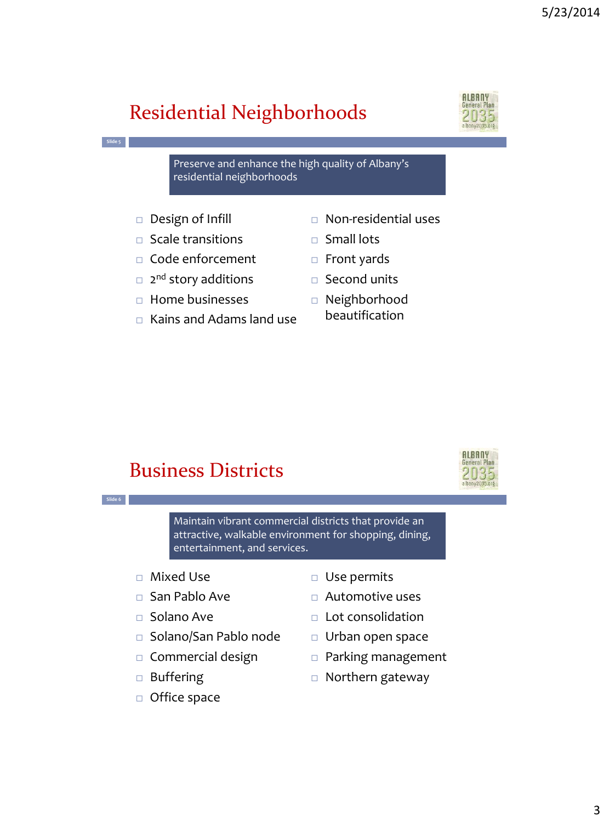# Residential Neighborhoods



Preserve and enhance the high quality of Albany's residential neighborhoods

□ Design of Infill

**Slide 5**

**Slide 6**

- $\square$  Scale transitions
- □ Code enforcement
- □ 2<sup>nd</sup> story additions
- $\Box$  Home businesses
- $\Box$  Kains and Adams land use
- Non-residential uses
- □ Small lots
- $\Box$  Front yards
- □ Second units
- Neighborhood beautification

#### Business Districts



Maintain vibrant commercial districts that provide an attractive, walkable environment for shopping, dining, entertainment, and services.

- Mixed Use
- □ San Pablo Ave
- $\Box$  Solano Ave
- □ Solano/San Pablo node
- $\Box$  Commercial design
- □ Buffering
- □ Office space
- □ Use permits
- Automotive uses
- $\Box$  Lot consolidation
- $\Box$  Urban open space
- Parking management
- □ Northern gateway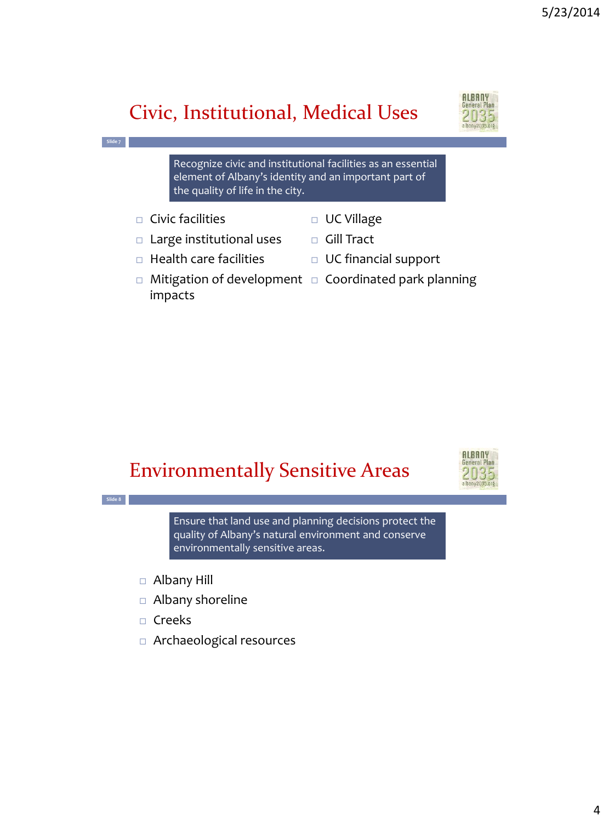# Civic, Institutional, Medical Uses



Recognize civic and institutional facilities as an essential element of Albany's identity and an important part of the quality of life in the city.

 $\Box$  Civic facilities

impacts

**Slide 7**

**Slide 8**

- UC Village
- $\Box$  Large institutional uses
- □ Gill Tract
- $\Box$  Health care facilities
- $\Box$  Mitigation of development  $\Box$  Coordinated park planning

UC financial support

#### Environmentally Sensitive Areas



Ensure that land use and planning decisions protect the quality of Albany's natural environment and conserve environmentally sensitive areas.

- Albany Hill
- Albany shoreline
- $\Box$  Creeks
- Archaeological resources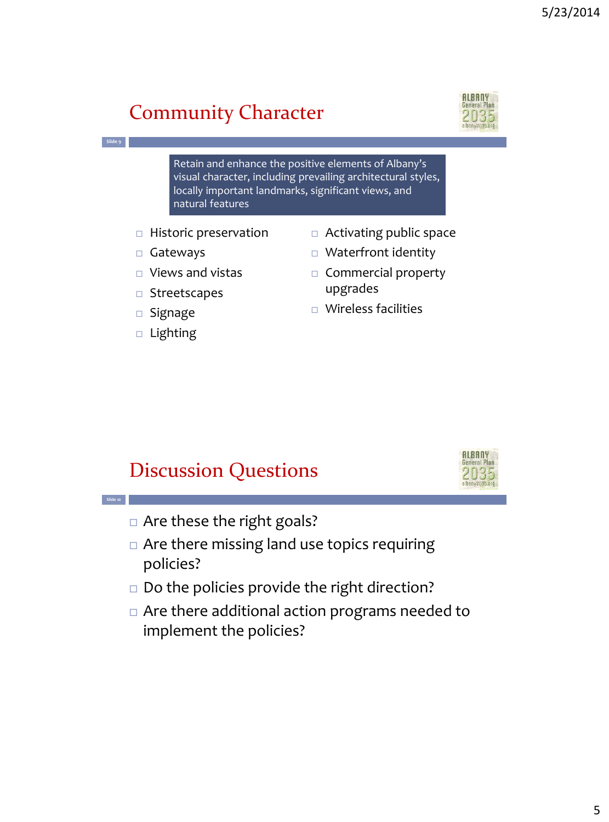# Community Character



**Slide 9**

**Slide 10**

Retain and enhance the positive elements of Albany's visual character, including prevailing architectural styles, locally important landmarks, significant views, and natural features

- $\Box$  Historic preservation
- Gateways
- $\Box$  Views and vistas
- Streetscapes
- $\square$  Signage
- □ Lighting
- □ Activating public space
- □ Waterfront identity
- $\Box$  Commercial property upgrades
- Wireless facilities

#### Discussion Questions



- □ Are these the right goals?
- $\Box$  Are there missing land use topics requiring policies?
- $\Box$  Do the policies provide the right direction?
- Are there additional action programs needed to implement the policies?